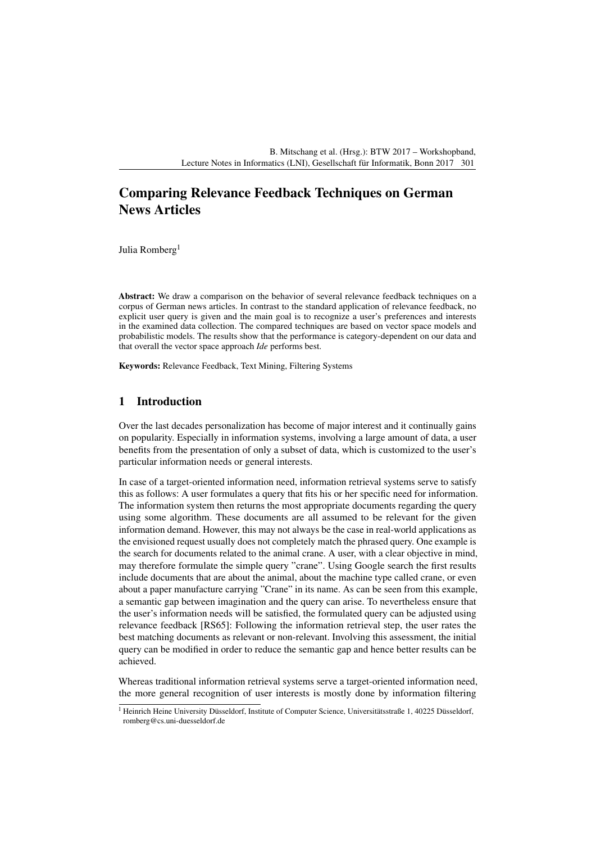# Comparing Relevance Feedback Techniques on German News Articles

Julia Romberg<sup>1</sup>

Abstract: We draw a comparison on the behavior of several relevance feedback techniques on a corpus of German news articles. In contrast to the standard application of relevance feedback, no explicit user query is given and the main goal is to recognize a user's preferences and interests in the examined data collection. The compared techniques are based on vector space models and probabilistic models. The results show that the performance is category-dependent on our data and that overall the vector space approach *Ide* performs best.

Keywords: Relevance Feedback, Text Mining, Filtering Systems

# 1 Introduction

Over the last decades personalization has become of major interest and it continually gains on popularity. Especially in information systems, involving a large amount of data, a user benefits from the presentation of only a subset of data, which is customized to the user's particular information needs or general interests.

In case of a target-oriented information need, information retrieval systems serve to satisfy this as follows: A user formulates a query that fits his or her specific need for information. The information system then returns the most appropriate documents regarding the query using some algorithm. These documents are all assumed to be relevant for the given information demand. However, this may not always be the case in real-world applications as the envisioned request usually does not completely match the phrased query. One example is the search for documents related to the animal crane. A user, with a clear objective in mind, may therefore formulate the simple query "crane". Using Google search the first results include documents that are about the animal, about the machine type called crane, or even about a paper manufacture carrying "Crane" in its name. As can be seen from this example, a semantic gap between imagination and the query can arise. To nevertheless ensure that the user's information needs will be satisfied, the formulated query can be adjusted using relevance feedback [\[RS65\]](#page-9-0): Following the information retrieval step, the user rates the best matching documents as relevant or non-relevant. Involving this assessment, the initial query can be modified in order to reduce the semantic gap and hence better results can be achieved.

Whereas traditional information retrieval systems serve a target-oriented information need, the more general recognition of user interests is mostly done by information filtering

<sup>&</sup>lt;sup>1</sup> Heinrich Heine University Düsseldorf, Institute of Computer Science, Universitätsstraße 1, 40225 Düsseldorf, romberg@cs.uni-duesseldorf.de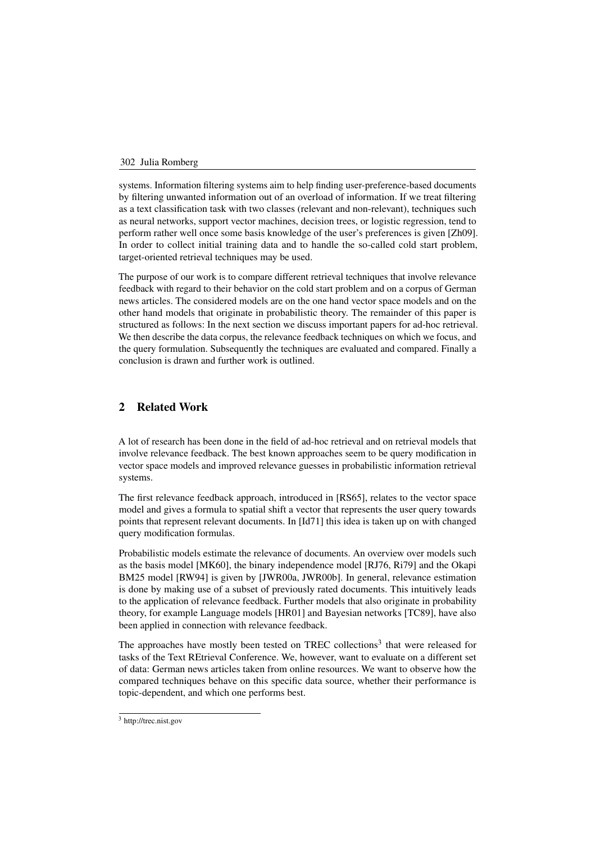systems. Information filtering systems aim to help finding user-preference-based documents by filtering unwanted information out of an overload of information. If we treat filtering as a text classification task with two classes (relevant and non-relevant), techniques such as neural networks, support vector machines, decision trees, or logistic regression, tend to perform rather well once some basis knowledge of the user's preferences is given [Zh09]. In order to collect initial training data and to handle the so-called cold start p[roblem](#page-9-1), target-oriented retrieval techniques may be used.

The purpose of our work is to compare different retrieval techniques that involve relevance feedback with regard to their behavior on the cold start problem and on a corpus of German news articles. The considered models are on the one hand vector space models and on the other hand models that originate in probabilistic theory. The remainder of this paper is structured as follows: In the next section we discuss important papers for ad-hoc retrieval. We then describe the data corpus, the relevance feedback techniques on which we focus, and the query formulation. Subsequently the techniques are evaluated and compared. Finally a conclusion is drawn and further work is outlined.

# 2 Related Work

A lot of research has been done in the field of ad-hoc retrieval and on retrieval models that involve relevance feedback. The best known approaches seem to be query modification in vector space models and improved relevance guesses in probabilistic information retrieval systems.

The first relevance feedback approach, introduced in [\[RS65\]](#page-9-0), relates to the vector space model and gives a formula to spatial shift a vector that represents the user query towards points that represent relevant documents. In [\[Id71\]](#page-9-2) this idea is taken up on with changed query modification formulas.

Probabilistic models estimate the relevance of documents. An overview over models such as the basis model [\[MK60\]](#page-9-3), the binary independence model [\[RJ76,](#page-9-4) [Ri79\]](#page-9-5) and the Okapi BM25 model [\[RW94\]](#page-9-6) is given by [\[JWR00a,](#page-9-7) [JWR00b\]](#page-9-8). In general, relevance estimation is done by making use of a subset of previously rated documents. This intuitively leads to the application of relevance feedback. Further models that also originate in probability theory, for example Language models [\[HR01\]](#page-9-9) and Bayesian networks [\[TC89\]](#page-9-10), have also been applied in connection with relevance feedback.

The approaches have mostly been tested on TREC collections<sup>3</sup> that were released for tasks of the Text REtrieval Conference. We, however, want to evaluate on a different set of data: German news articles taken from online resources. We want to observe how the compared techniques behave on this specific data source, whether their performance is topic-dependent, and which one performs best.

<span id="page-1-0"></span><sup>3</sup> http://trec.nist.gov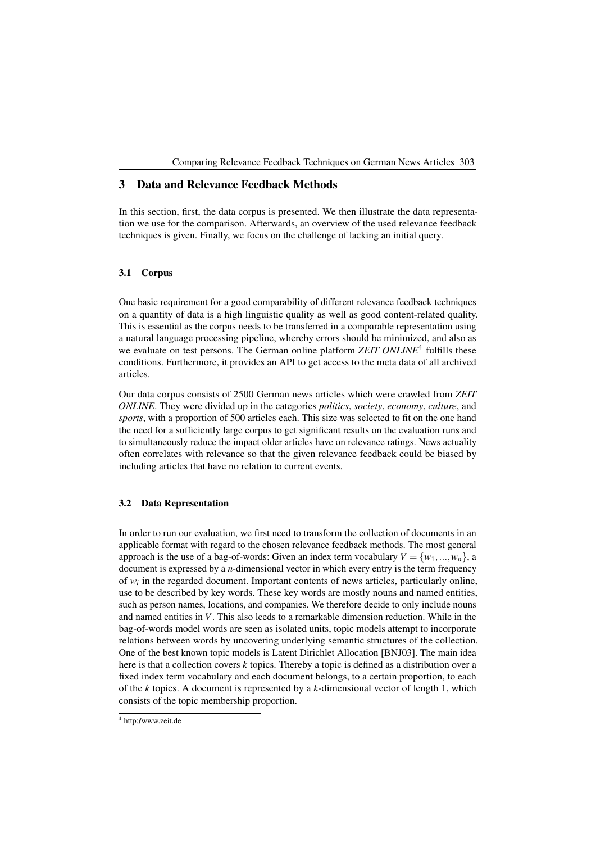# 3 Data and Relevance Feedback Methods

In this section, first, the data corpus is presented. We then illustrate the data representation we use for the comparison. Afterwards, an overview of the used relevance feedback techniques is given. Finally, we focus on the challenge of lacking an initial query.

## 3.1 Corpus

One basic requirement for a good comparability of different relevance feedback techniques on a quantity of data is a high linguistic quality as well as good content-related quality. This is essential as the corpus needs to be transferred in a comparable representation using a natural language processing pipeline, whereby errors should be minimized, and also as we evaluate on test persons. The German online platform *ZEIT ONLINE<sup>4</sup>* fulfills these conditions. Furthermore, it provides an API to get access to the meta data [of](#page-2-0) all archived articles.

Our data corpus consists of 2500 German news articles which were crawled from *ZEIT ONLINE*. They were divided up in the categories *politics*, *society*, *economy*, *culture*, and *sports*, with a proportion of 500 articles each. This size was selected to fit on the one hand the need for a sufficiently large corpus to get significant results on the evaluation runs and to simultaneously reduce the impact older articles have on relevance ratings. News actuality often correlates with relevance so that the given relevance feedback could be biased by including articles that have no relation to current events.

### 3.2 Data Representation

In order to run our evaluation, we first need to transform the collection of documents in an applicable format with regard to the chosen relevance feedback methods. The most general approach is the use of a bag-of-words: Given an index term vocabulary  $V = \{w_1, ..., w_n\}$ , a document is expressed by a *n*-dimensional vector in which every entry is the term frequency of *wi* in the regarded document. Important contents of news articles, particularly online, use to be described by key words. These key words are mostly nouns and named entities, such as person names, locations, and companies. We therefore decide to only include nouns and named entities in *V*. This also leeds to a remarkable dimension reduction. While in the bag-of-words model words are seen as isolated units, topic models attempt to incorporate relations between words by uncovering underlying semantic structures of the collection. One of the best known topic models is Latent Dirichlet Allocation [\[BNJ03\]](#page-9-11). The main idea here is that a collection covers *k* topics. Thereby a topic is defined as a distribution over a fixed index term vocabulary and each document belongs, to a certain proportion, to each of the *k* topics. A document is represented by a *k*-dimensional vector of length 1, which consists of the topic membership proportion.

<span id="page-2-0"></span><sup>4</sup> <http://www.zeit.de>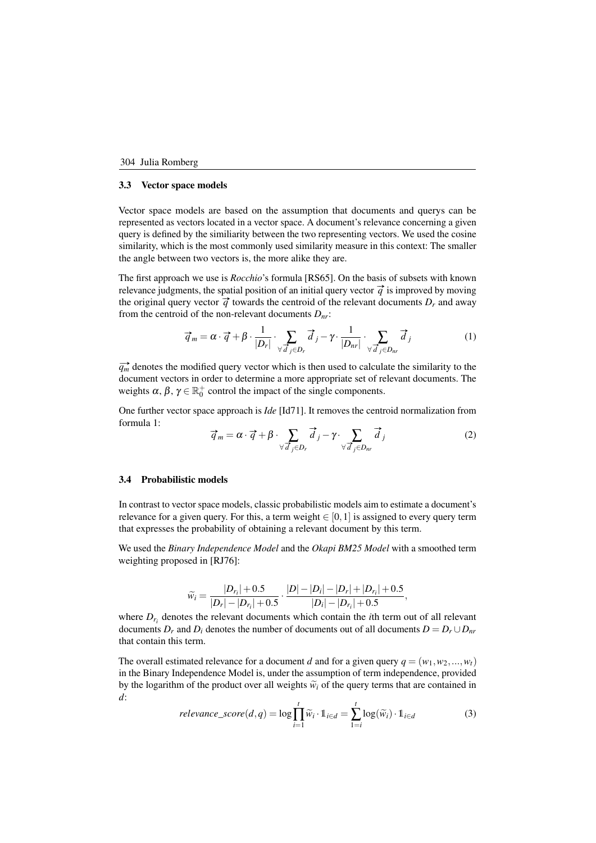#### 3.3 Vector space models

Vector space models are based on the assumption that documents and querys can be represented as vectors located in a vector space. A document's relevance concerning a given query is defined by the similiarity between the two representing vectors. We used the cosine similarity, which is the most commonly used similarity measure in this context: The smaller the angle between two vectors is, the more alike they are.

The first approach we use is *Rocchio*'s formula [\[RS65\]](#page-9-0). On the basis of subsets with known relevance judgments, the spatial position of an initial query vector  $\vec{q}$  is improved by moving the original query vector  $\vec{q}$  towards the centroid of the relevant documents  $D_r$  and away from the centroid of the non-relevant documents  $D_{nr}$ :

<span id="page-3-0"></span>
$$
\vec{q}_m = \alpha \cdot \vec{q} + \beta \cdot \frac{1}{|D_r|} \cdot \sum_{\forall \vec{d}_j \in D_r} \vec{d}_j - \gamma \cdot \frac{1}{|D_{nr}|} \cdot \sum_{\forall \vec{d}_j \in D_{nr}} \vec{d}_j
$$
(1)

 $\overrightarrow{q_m}$  denotes the modified query vector which is then used to calculate the similarity to the document vectors in order to determine a more appropriate set of relevant documents. The weights  $\alpha$ ,  $\beta$ ,  $\gamma \in \mathbb{R}^+_0$  control the impact of the single components.

One further vector space approach is *Ide* [\[Id71\]](#page-9-2). It removes the centroid normalization from formula [1:](#page-3-0)  $\vec{q}_m = \alpha \cdot \vec{q} + \beta \cdot \sum$ 

<span id="page-3-1"></span>
$$
\vec{q}_m = \alpha \cdot \vec{q} + \beta \cdot \sum_{\forall \vec{d}_j \in D_r} \vec{d}_j - \gamma \cdot \sum_{\forall \vec{d}_j \in D_{nr}} \vec{d}_j \tag{2}
$$

### 3.4 Probabilistic models

In contrast to vector space models, classic probabilistic models aim to estimate a document's relevance for a given query. For this, a term weight  $\in [0,1]$  is assigned to every query term that expresses the probability of obtaining a relevant document by this term.

We used the *Binary Independence Model* and the *Okapi BM25 Model* with a smoothed term weighting proposed in [\[RJ76\]](#page-9-4):

$$
\widetilde{w}_i = \frac{|D_{r_i}| + 0.5}{|D_r| - |D_{r_i}| + 0.5} \cdot \frac{|D| - |D_i| - |D_r| + |D_{r_i}| + 0.5}{|D_i| - |D_{r_i}| + 0.5},
$$

where  $D_{r_i}$  denotes the relevant documents which contain the *i*th term out of all relevant documents  $D_r$  and  $D_i$  denotes the number of documents out of all documents  $D = D_r \cup D_{nr}$ that contain this term.

The overall estimated relevance for a document *d* and for a given query  $q = (w_1, w_2, ..., w_t)$ in the Binary Independence Model is, under the assumption of term independence, provided by the logarithm of the product over all weights  $\tilde{w}_i$  of the query terms that are contained in *d*:

<span id="page-3-2"></span>
$$
relevance\_score(d, q) = \log \prod_{i=1}^{t} \widetilde{w}_i \cdot 1_{i \in d} = \sum_{i=i}^{t} \log(\widetilde{w}_i) \cdot 1_{i \in d}
$$
(3)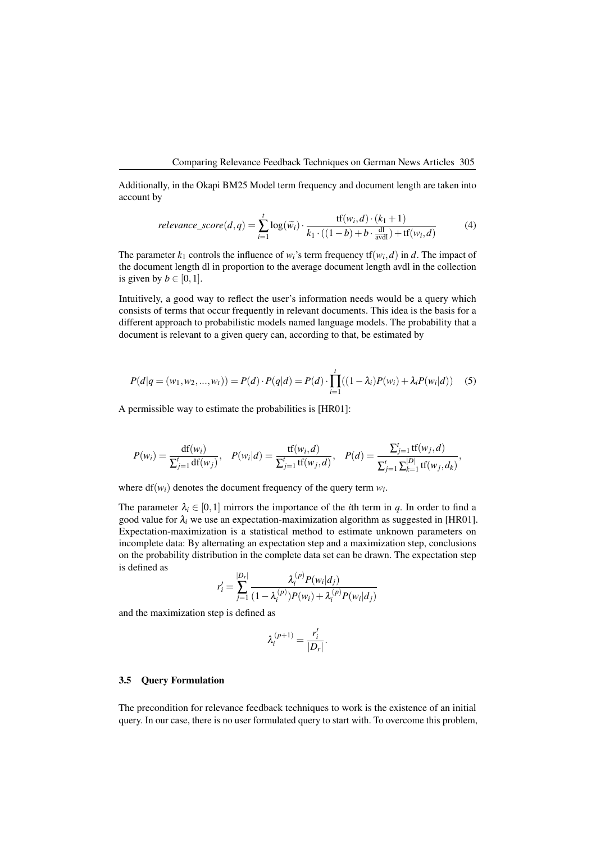Additionally, in the Okapi BM25 Model term frequency and document length are taken into account by

<span id="page-4-0"></span>
$$
relevance\_score(d, q) = \sum_{i=1}^{t} \log(\widetilde{w}_i) \cdot \frac{\text{tf}(w_i, d) \cdot (k_1 + 1)}{k_1 \cdot ((1 - b) + b \cdot \frac{\text{dl}}{\text{avdl}}) + \text{tf}(w_i, d)}
$$
(4)

The parameter  $k_1$  controls the influence of  $w_i$ 's term frequency  $\text{tf}(w_i, d)$  in *d*. The impact of the document length dl in proportion to the average document length avdl in the collection is given by  $b \in [0,1]$ .

Intuitively, a good way to reflect the user's information needs would be a query which consists of terms that occur frequently in relevant documents. This idea is the basis for a different approach to probabilistic models named language models. The probability that a document is relevant to a given query can, according to that, be estimated by

<span id="page-4-1"></span>
$$
P(d|q = (w_1, w_2, ..., w_t)) = P(d) \cdot P(q|d) = P(d) \cdot \prod_{i=1}^t ((1 - \lambda_i)P(w_i) + \lambda_i P(w_i|d)) \quad (5)
$$

A permissible way to estimate the probabilities is [\[HR01\]](#page-9-9):

$$
P(w_i) = \frac{df(w_i)}{\sum_{j=1}^t df(w_j)}, \quad P(w_i|d) = \frac{tf(w_i, d)}{\sum_{j=1}^t tf(w_j, d)}, \quad P(d) = \frac{\sum_{j=1}^t tf(w_j, d)}{\sum_{j=1}^t \sum_{k=1}^{|D|} tf(w_j, d_k)},
$$

where  $df(w_i)$  denotes the document frequency of the query term  $w_i$ .

The parameter  $\lambda_i \in [0,1]$  mirrors the importance of the *i*th term in *q*. In order to find a good value for  $\lambda_i$  we use an expectation-maximization algorithm as suggested in [\[HR01\]](#page-9-9). Expectation-maximization is a statistical method to estimate unknown parameters on incomplete data: By alternating an expectation step and a maximization step, conclusions on the probability distribution in the complete data set can be drawn. The expectation step is defined as

$$
r'_{i} = \sum_{j=1}^{|D_r|} \frac{\lambda_i^{(p)} P(w_i|d_j)}{(1 - \lambda_i^{(p)}) P(w_i) + \lambda_i^{(p)} P(w_i|d_j)}
$$

and the maximization step is defined as

$$
\lambda_i^{(p+1)} = \frac{r_i'}{|D_r|}.
$$

#### 3.5 Query Formulation

The precondition for relevance feedback techniques to work is the existence of an initial query. In our case, there is no user formulated query to start with. To overcome this problem,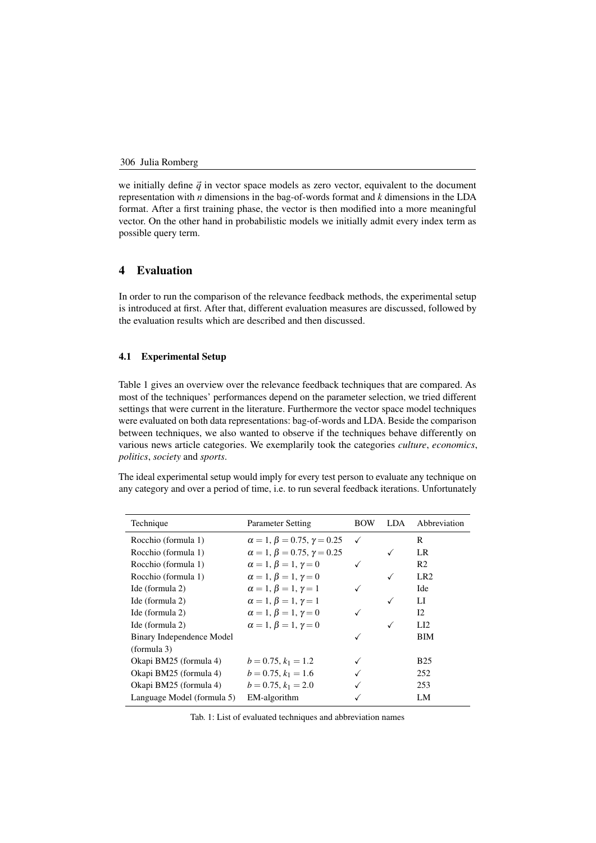we initially define  $\vec{q}$  in vector space models as zero vector, equivalent to the document representation with *n* dimensions in the bag-of-words format and *k* dimensions in the LDA format. After a first training phase, the vector is then modified into a more meaningful vector. On the other hand in probabilistic models we initially admit every index term as possible query term.

# 4 Evaluation

In order to run the comparison of the relevance feedback methods, the experimental setup is introduced at first. After that, different evaluation measures are discussed, followed by the evaluation results which are described and then discussed.

# 4.1 Experimental Setup

Table 1 gives an overview over the relevance feedback techniques that are compared. As most [of](#page-5-0) the techniques' performances depend on the parameter selection, we tried different settings that were current in the literature. Furthermore the vector space model techniques were evaluated on both data representations: bag-of-words and LDA. Beside the comparison between techniques, we also wanted to observe if the techniques behave differently on various news article categories. We exemplarily took the categories *culture*, *economics*, *politics*, *society* and *sports*.

The ideal experimental setup would imply for every test person to evaluate any technique on any category and over a period of time, i.e. to run several feedback iterations. Unfortunately

<span id="page-5-0"></span>

| Technique                  | Parameter Setting                         | <b>BOW</b>   | LDA. | Abbreviation    |
|----------------------------|-------------------------------------------|--------------|------|-----------------|
| Rocchio (formula 1)        | $\alpha = 1, \beta = 0.75, \gamma = 0.25$ | $\checkmark$ |      | R               |
| Rocchio (formula 1)        | $\alpha = 1, \beta = 0.75, \gamma = 0.25$ |              | ✓    | LR              |
| Rocchio (formula 1)        | $\alpha = 1, \beta = 1, \gamma = 0$       | $\checkmark$ |      | R <sub>2</sub>  |
| Rocchio (formula 1)        | $\alpha = 1, \beta = 1, \gamma = 0$       |              | ✓    | LR <sub>2</sub> |
| Ide (formula 2)            | $\alpha = 1, \beta = 1, \gamma = 1$       | $\checkmark$ |      | Ide             |
| Ide (formula 2)            | $\alpha = 1, \beta = 1, \gamma = 1$       |              | ✓    | LI              |
| Ide (formula 2)            | $\alpha = 1, \beta = 1, \gamma = 0$       | √            |      | 12              |
| Ide (formula 2)            | $\alpha = 1, \beta = 1, \gamma = 0$       |              | ✓    | LI2             |
| Binary Independence Model  |                                           | √            |      | ВIМ             |
| (formula 3)                |                                           |              |      |                 |
| Okapi BM25 (formula 4)     | $b = 0.75, k_1 = 1.2$                     |              |      | B <sub>25</sub> |
| Okapi BM25 (formula 4)     | $b = 0.75, k_1 = 1.6$                     |              |      | 252             |
| Okapi BM25 (formula 4)     | $b = 0.75, k_1 = 2.0$                     |              |      | 253             |
| Language Model (formula 5) | EM-algorithm                              |              |      | LM              |

Tab. 1: List of evaluated techniques and abbreviation names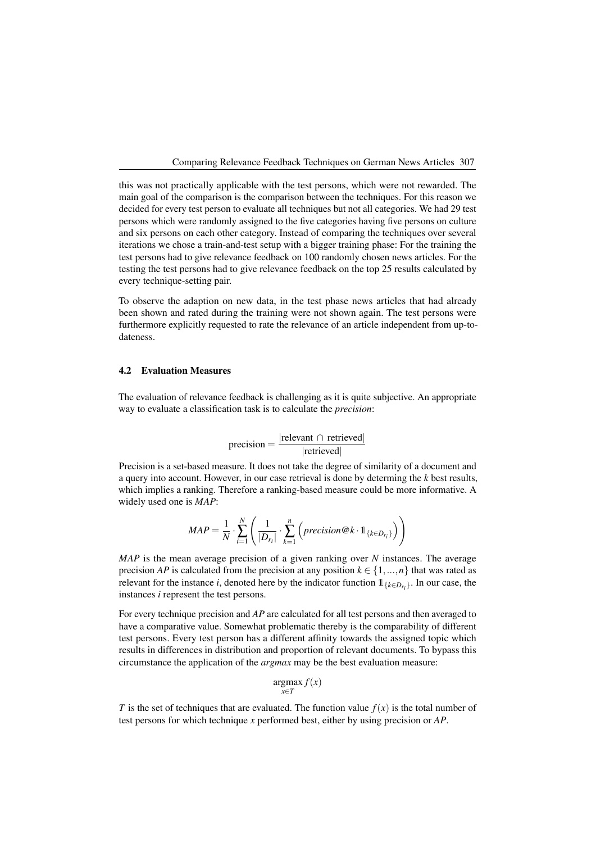Comparing Relevance Feedback Techniques on German News Articles 7 Comparing Relevance Feedback Techniques on German News Articles 307

this was not practically applicable with the test persons, which were not rewarded. The main goal of the comparison is the comparison between the techniques. For this reason we decided for every test person to evaluate all techniques but not all categories. We had 29 test persons which were randomly assigned to the five categories having five persons on culture and six persons on each other category. Instead of comparing the techniques over several iterations we chose a train-and-test setup with a bigger training phase: For the training the test persons had to give relevance feedback on 100 randomly chosen news articles. For the testing the test persons had to give relevance feedback on the top 25 results calculated by every technique-setting pair.

To observe the adaption on new data, in the test phase news articles that had already been shown and rated during the training were not shown again. The test persons were furthermore explicitly requested to rate the relevance of an article independent from up-todateness.

## 4.2 Evaluation Measures

The evaluation of relevance feedback is challenging as it is quite subjective. An appropriate way to evaluate a classification task is to calculate the *precision*:

$$
precision = \frac{|\text{relevant} \cap \text{retrieved}|}{|\text{retrieved}|}
$$

Precision is a set-based measure. It does not take the degree of similarity of a document and a query into account. However, in our case retrieval is done by determing the *k* best results, which implies a ranking. Therefore a ranking-based measure could be more informative. A widely used one is *MAP*:

$$
MAP = \frac{1}{N} \cdot \sum_{i=1}^{N} \left( \frac{1}{|D_{r_i}|} \cdot \sum_{k=1}^{n} \left( precision@k \cdot \mathbb{1}_{\{k \in D_{r_i}\}} \right) \right)
$$

*MAP* is the mean average precision of a given ranking over *N* instances. The average precision *AP* is calculated from the precision at any position  $k \in \{1, ..., n\}$  that was rated as relevant for the instance *i*, denoted here by the indicator function  $1_{\{k \in D_{r_i}\}}$ . In our case, the instances *i* represent the test persons.

For every technique precision and *AP* are calculated for all test persons and then averaged to have a comparative value. Somewhat problematic thereby is the comparability of different test persons. Every test person has a different affinity towards the assigned topic which results in differences in distribution and proportion of relevant documents. To bypass this circumstance the application of the *argmax* may be the best evaluation measure:

$$
\underset{x \in T}{\operatorname{argmax}} f(x)
$$

*T* is the set of techniques that are evaluated. The function value  $f(x)$  is the total number of test persons for which technique *x* performed best, either by using precision or *AP*.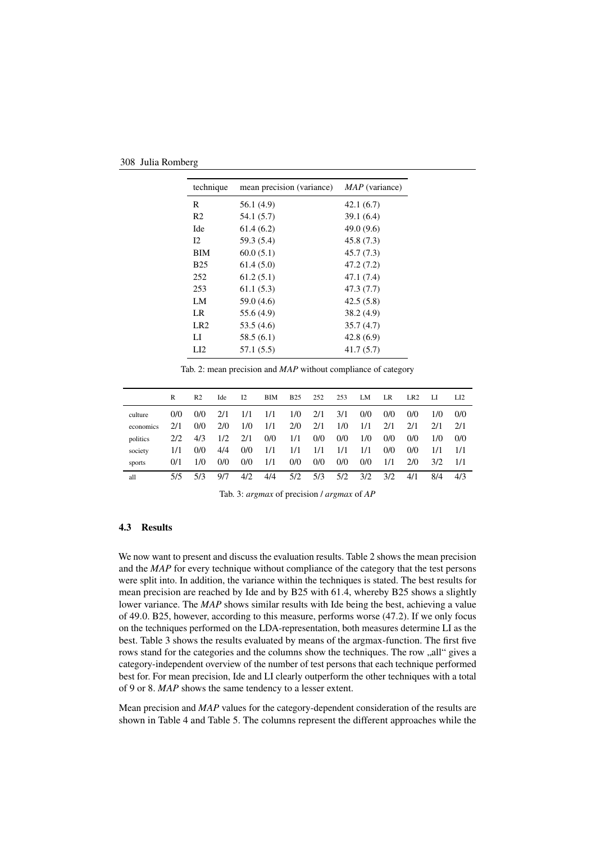<span id="page-7-0"></span>

| technique       | mean precision (variance) | $MAP$ (variance) |
|-----------------|---------------------------|------------------|
| R               | 56.1 (4.9)                | 42.1(6.7)        |
| R <sub>2</sub>  | 54.1 (5.7)                | 39.1(6.4)        |
| Ide             | 61.4(6.2)                 | 49.0(9.6)        |
| 12              | 59.3 (5.4)                | 45.8 (7.3)       |
| <b>BIM</b>      | 60.0(5.1)                 | 45.7(7.3)        |
| <b>B25</b>      | 61.4(5.0)                 | 47.2 (7.2)       |
| 252             | 61.2(5.1)                 | 47.1 (7.4)       |
| 253             | 61.1(5.3)                 | 47.3 (7.7)       |
| LM              | 59.0 (4.6)                | 42.5(5.8)        |
| LR              | 55.6 (4.9)                | 38.2(4.9)        |
| LR <sub>2</sub> | 53.5 (4.6)                | 35.7(4.7)        |
| LI              | 58.5 (6.1)                | 42.8(6.9)        |
| LI <sub>2</sub> | 57.1(5.5)                 | 41.7(5.7)        |

Tab. 2: mean precision and *MAP* without compliance of category

<span id="page-7-1"></span>

|           | R   | R <sub>2</sub> | Ide | 12  | BIM | <b>B25</b> | 252 | 253 | LM  | <b>LR</b> | LR <sub>2</sub> | LI  | $L_{12}$ |
|-----------|-----|----------------|-----|-----|-----|------------|-----|-----|-----|-----------|-----------------|-----|----------|
| culture   | 0/0 | 0/0            | 2/1 | 1/1 | 1/1 | 1/0        | 2/1 | 3/1 | 0/0 | 0/0       | 0/0             | 1/0 | 0/0      |
| economics | 2/1 | 0/0            | 2/0 | 1/0 | 1/1 | 2/0        | 2/1 | 1/0 | 1/1 | 2/1       | 2/1             | 2/1 | 2/1      |
| politics  | 2/2 | 4/3            | 1/2 | 2/1 | 0/0 | 1/1        | 0/0 | 0/0 | 1/0 | 0/0       | 0/0             | 1/0 | 0/0      |
| society   | 1/1 | 0/0            | 4/4 | 0/0 | 1/1 | 1/1        | 1/1 | 1/1 | 1/1 | 0/0       | 0/0             | 1/1 | 1/1      |
| sports    | 0/1 | 1/0            | 0/0 | 0/0 | 1/1 | 0/0        | 0/0 | 0/0 | 0/0 | 1/1       | 2/0             | 3/2 | 1/1      |
| all       | 5/5 | 5/3            | 9/7 | 4/2 | 4/4 | 5/2        | 5/3 | 5/2 | 3/2 | 3/2       | 4/1             | 8/4 | 4/3      |
|           |     |                |     |     |     |            |     |     |     |           |                 |     |          |

Tab. 3: *argmax* of precision / *argmax* of *AP*

#### 4.3 Results

We now want to present and discuss the evaluation results. Table [2](#page-7-0) shows the mean precision and the *MAP* for every technique without compliance of the category that the test persons were split into. In addition, the variance within the techniques is stated. The best results for mean precision are reached by Ide and by B25 with 61*.*4, whereby B25 shows a slightly lower variance. The *MAP* shows similar results with Ide being the best, achieving a value of 49*.*0. B25, however, according to this measure, performs worse (47*.*2). If we only focus on the techniques performed on the LDA-representation, both measures determine LI as the best. Table [3](#page-7-1) shows the results evaluated by means of the argmax-function. The first five rows stand for the categories and the columns show the techniques. The row "all" gives a category-independent overview of the number of test persons that each technique performed best for. For mean precision, Ide and LI clearly outperform the other techniques with a total of 9 or 8. *MAP* shows the same tendency to a lesser extent.

Mean precision and *MAP* values for the category-dependent consideration of the results are shown in Table [4](#page-8-0) and Table [5.](#page-8-1) The columns represent the different approaches while the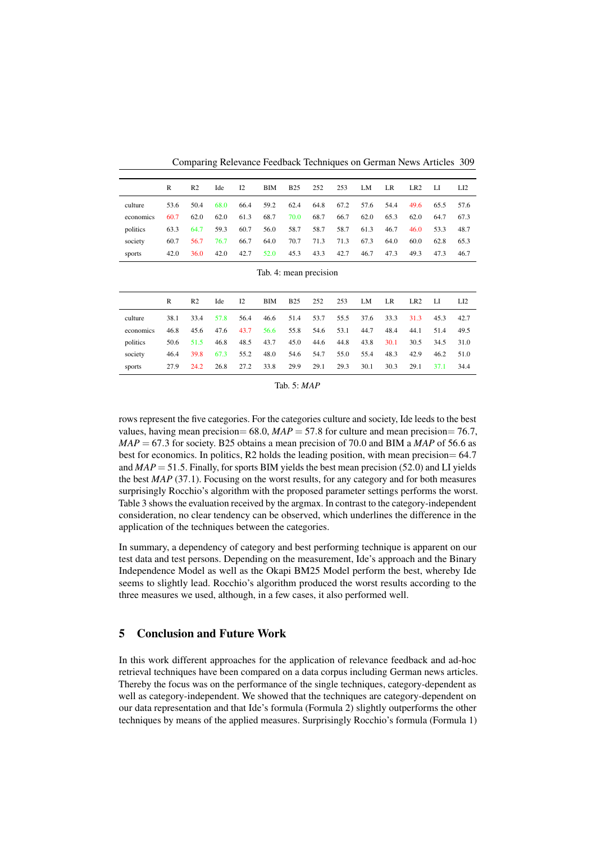Comparing Relevance Feedback Techniques on German News Articles 9 Comparing Relevance Feedback Techniques on German News Articles 309

<span id="page-8-0"></span>

|           | R    | R <sub>2</sub> | Ide  | 12   | BIM  | <b>B25</b> | 252  | 253  | LM   | LR.  | LR <sub>2</sub> | -LI  | L12  |
|-----------|------|----------------|------|------|------|------------|------|------|------|------|-----------------|------|------|
| culture   | 53.6 | 50.4           | 68.0 | 66.4 | 59.2 | 62.4       | 64.8 | 67.2 | 57.6 | 54.4 | 49.6            | 65.5 | 57.6 |
| economics | 60.7 | 62.0           | 62.0 | 61.3 | 68.7 | 70.0       | 68.7 | 66.7 | 62.0 | 65.3 | 62.0            | 64.7 | 67.3 |
| politics  | 63.3 | 64.7           | 59.3 | 60.7 | 56.0 | 58.7       | 58.7 | 58.7 | 61.3 | 46.7 | 46.0            | 53.3 | 48.7 |
| society   | 60.7 | 56.7           | 76.7 | 66.7 | 64.0 | 70.7       | 71.3 | 71.3 | 67.3 | 64.0 | 60.0            | 62.8 | 65.3 |
| sports    | 42.0 | 36.0           | 42.0 | 42.7 | 52.0 | 45.3       | 43.3 | 42.7 | 46.7 | 47.3 | 49.3            | 47.3 | 46.7 |

|  | Tab. 4: mean precision |
|--|------------------------|

<span id="page-8-1"></span>

|           | R    | R <sub>2</sub> | Ide  | $_{12}$ | BIM  | <b>B25</b> | 252  | 253  | LM   | LR   | LR <sub>2</sub> | -LI  | LI <sub>2</sub> |
|-----------|------|----------------|------|---------|------|------------|------|------|------|------|-----------------|------|-----------------|
| culture   | 38.1 | 33.4           | 57.8 | 56.4    | 46.6 | 51.4       | 53.7 | 55.5 | 37.6 | 33.3 | 31.3            | 45.3 | 42.7            |
| economics | 46.8 | 45.6           | 47.6 | 43.7    | 56.6 | 55.8       | 54.6 | 53.1 | 44.7 | 48.4 | 44.1            | 51.4 | 49.5            |
| politics  | 50.6 | 51.5           | 46.8 | 48.5    | 43.7 | 45.0       | 44.6 | 44.8 | 43.8 | 30.1 | 30.5            | 34.5 | 31.0            |
| society   | 46.4 | 39.8           | 67.3 | 55.2    | 48.0 | 54.6       | 54.7 | 55.0 | 55.4 | 48.3 | 42.9            | 46.2 | 51.0            |
| sports    | 27.9 | 24.2           | 26.8 | 27.2    | 33.8 | 29.9       | 29.1 | 29.3 | 30.1 | 30.3 | 29.1            | 37.1 | 34.4            |

| Tab. 5: <i>MAP</i> |  |  |  |  |
|--------------------|--|--|--|--|
|--------------------|--|--|--|--|

rows represent the five categories. For the categories culture and society, Ide leeds to the best values, having mean precision= 68*.*0, *MAP* = 57*.*8 for culture and mean precision= 76*.*7, *MAP* = 67*.*3 for society. B25 obtains a mean precision of 70*.*0 and BIM a *MAP* of 56*.*6 as best for economics. In politics, R2 holds the leading position, with mean precision= 64*.*7 and *MAP* = 51*.*5. Finally, for sports BIM yields the best mean precision (52*.*0) and LI yields the best *MAP* (37*.*1). Focusing on the worst results, for any category and for both measures surprisingly Rocchio's algorithm with the proposed parameter settings performs the worst. Table [3](#page-7-1) shows the evaluation received by the argmax. In contrast to the category-independent consideration, no clear tendency can be observed, which underlines the difference in the application of the techniques between the categories.

In summary, a dependency of category and best performing technique is apparent on our test data and test persons. Depending on the measurement, Ide's approach and the Binary Independence Model as well as the Okapi BM25 Model perform the best, whereby Ide seems to slightly lead. Rocchio's algorithm produced the worst results according to the three measures we used, although, in a few cases, it also performed well.

# 5 Conclusion and Future Work

In this work different approaches for the application of relevance feedback and ad-hoc retrieval techniques have been compared on a data corpus including German news articles. Thereby the focus was on the performance of the single techniques, category-dependent as well as category-independent. We showed that the techniques are category-dependent on our data representation and that Ide's formula (Formula [2\)](#page-3-1) slightly outperforms the other techniques by means of the applied measures. Surprisingly Rocchio's formula (Formula [1\)](#page-3-0)